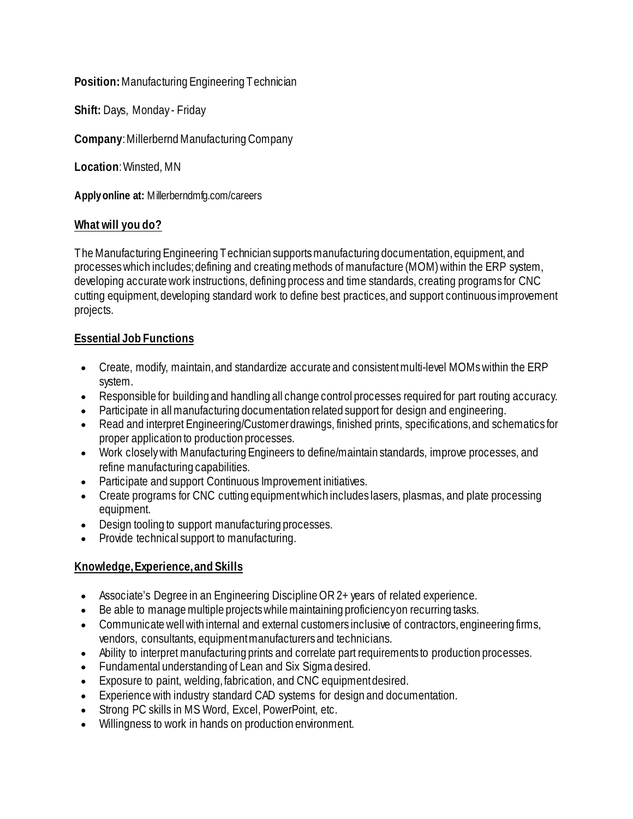#### **Position:** Manufacturing Engineering Technician

**Shift:** Days, Monday - Friday

**Company**: Millerbernd Manufacturing Company

**Location**: Winsted, MN

**Apply online at:** Millerberndmfg.com/careers

## **What will you do?**

The Manufacturing Engineering Technician supports manufacturing documentation, equipment, and processes which includes; defining and creating methods of manufacture (MOM) within the ERP system, developing accurate work instructions, defining process and time standards, creating programs for CNC cutting equipment, developing standard work to define best practices, and support continuous improvement projects.

## **Essential Job Functions**

- Create, modify, maintain, and standardize accurate and consistent multi-level MOMs within the ERP system.
- Responsible for building and handling all change control processes required for part routing accuracy.
- Participate in all manufacturing documentation related support for design and engineering.
- Read and interpret Engineering/Customer drawings, finished prints, specifications, and schematics for proper application to production processes.
- Work closely with Manufacturing Engineers to define/maintain standards, improve processes, and refine manufacturing capabilities.
- Participate and support Continuous Improvement initiatives.
- Create programs for CNC cutting equipment which includes lasers, plasmas, and plate processing equipment.
- Design tooling to support manufacturing processes.
- Provide technical support to manufacturing.

# **Knowledge,Experience,and Skills**

- Associate's Degree in an Engineering Discipline OR 2+ years of related experience.
- Be able to manage multiple projects while maintaining proficiency on recurring tasks.
- Communicate well with internal and external customers inclusive of contractors, engineering firms, vendors, consultants, equipment manufacturers and technicians.
- Ability to interpret manufacturing prints and correlate part requirements to production processes.
- Fundamental understanding of Lean and Six Sigma desired.
- Exposure to paint, welding, fabrication, and CNC equipment desired.
- Experience with industry standard CAD systems for design and documentation.
- Strong PC skills in MS Word, Excel, PowerPoint, etc.
- Willingness to work in hands on production environment.